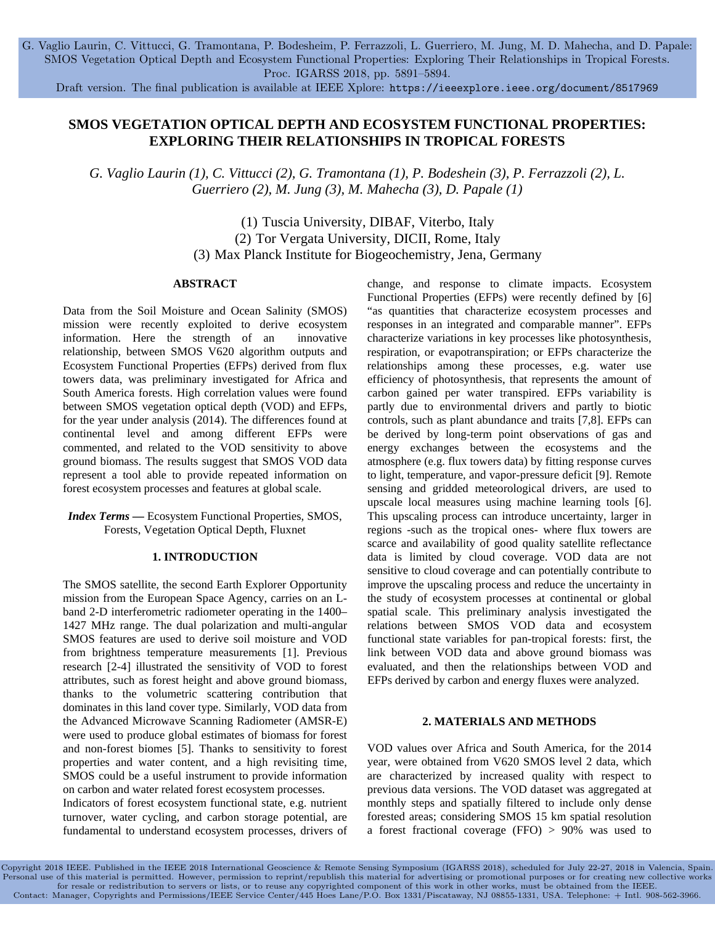G. Vaglio Laurin, C. Vittucci, G. Tramontana, P. Bodesheim, P. Ferrazzoli, L. Guerriero, M. Jung, M. D. Mahecha, and D. Papale: SMOS Vegetation Optical Depth and Ecosystem Functional Properties: Exploring Their Relationships in Tropical Forests. Proc. IGARSS 2018, pp. 5891–5894.

Draft version. The final publication is available at IEEE Xplore: <https://ieeexplore.ieee.org/document/8517969>

# **SMOS VEGETATION OPTICAL DEPTH AND ECOSYSTEM FUNCTIONAL PROPERTIES: EXPLORING THEIR RELATIONSHIPS IN TROPICAL FORESTS**

*G. Vaglio Laurin (1), C. Vittucci (2), G. Tramontana (1), P. Bodeshein (3), P. Ferrazzoli (2), L. Guerriero (2), M. Jung (3), M. Mahecha (3), D. Papale (1)*

> (1) Tuscia University, DIBAF, Viterbo, Italy (2) Tor Vergata University, DICII, Rome, Italy (3) Max Planck Institute for Biogeochemistry, Jena, Germany

# **ABSTRACT**

Data from the Soil Moisture and Ocean Salinity (SMOS) mission were recently exploited to derive ecosystem information. Here the strength of an innovative relationship, between SMOS V620 algorithm outputs and Ecosystem Functional Properties (EFPs) derived from flux towers data, was preliminary investigated for Africa and South America forests. High correlation values were found between SMOS vegetation optical depth (VOD) and EFPs, for the year under analysis (2014). The differences found at continental level and among different EFPs were commented, and related to the VOD sensitivity to above ground biomass. The results suggest that SMOS VOD data represent a tool able to provide repeated information on forest ecosystem processes and features at global scale.

# *Index Terms —* Ecosystem Functional Properties, SMOS, Forests, Vegetation Optical Depth, Fluxnet

# **1. INTRODUCTION**

The SMOS satellite, the second Earth Explorer Opportunity mission from the European Space Agency, carries on an Lband 2-D interferometric radiometer operating in the 1400– 1427 MHz range. The dual polarization and multi-angular SMOS features are used to derive soil moisture and VOD from brightness temperature measurements [1]. Previous research [2-4] illustrated the sensitivity of VOD to forest attributes, such as forest height and above ground biomass, thanks to the volumetric scattering contribution that dominates in this land cover type. Similarly, VOD data from the Advanced Microwave Scanning Radiometer (AMSR-E) were used to produce global estimates of biomass for forest and non-forest biomes [5]. Thanks to sensitivity to forest properties and water content, and a high revisiting time, SMOS could be a useful instrument to provide information on carbon and water related forest ecosystem processes.

Indicators of forest ecosystem functional state, e.g. nutrient turnover, water cycling, and carbon storage potential, are fundamental to understand ecosystem processes, drivers of change, and response to climate impacts. Ecosystem Functional Properties (EFPs) were recently defined by [6] "as quantities that characterize ecosystem processes and responses in an integrated and comparable manner". EFPs characterize variations in key processes like photosynthesis, respiration, or evapotranspiration; or EFPs characterize the relationships among these processes, e.g. water use efficiency of photosynthesis, that represents the amount of carbon gained per water transpired. EFPs variability is partly due to environmental drivers and partly to biotic controls, such as plant abundance and traits [7,8]. EFPs can be derived by long-term point observations of gas and energy exchanges between the ecosystems and the atmosphere (e.g. flux towers data) by fitting response curves to light, temperature, and vapor-pressure deficit [9]. Remote sensing and gridded meteorological drivers, are used to upscale local measures using machine learning tools [6]. This upscaling process can introduce uncertainty, larger in regions -such as the tropical ones- where flux towers are scarce and availability of good quality satellite reflectance data is limited by cloud coverage. VOD data are not sensitive to cloud coverage and can potentially contribute to improve the upscaling process and reduce the uncertainty in the study of ecosystem processes at continental or global spatial scale. This preliminary analysis investigated the relations between SMOS VOD data and ecosystem functional state variables for pan-tropical forests: first, the link between VOD data and above ground biomass was evaluated, and then the relationships between VOD and EFPs derived by carbon and energy fluxes were analyzed.

#### **2. MATERIALS AND METHODS**

VOD values over Africa and South America, for the 2014 year, were obtained from V620 SMOS level 2 data, which are characterized by increased quality with respect to previous data versions. The VOD dataset was aggregated at monthly steps and spatially filtered to include only dense forested areas; considering SMOS 15 km spatial resolution a forest fractional coverage (FFO) > 90% was used to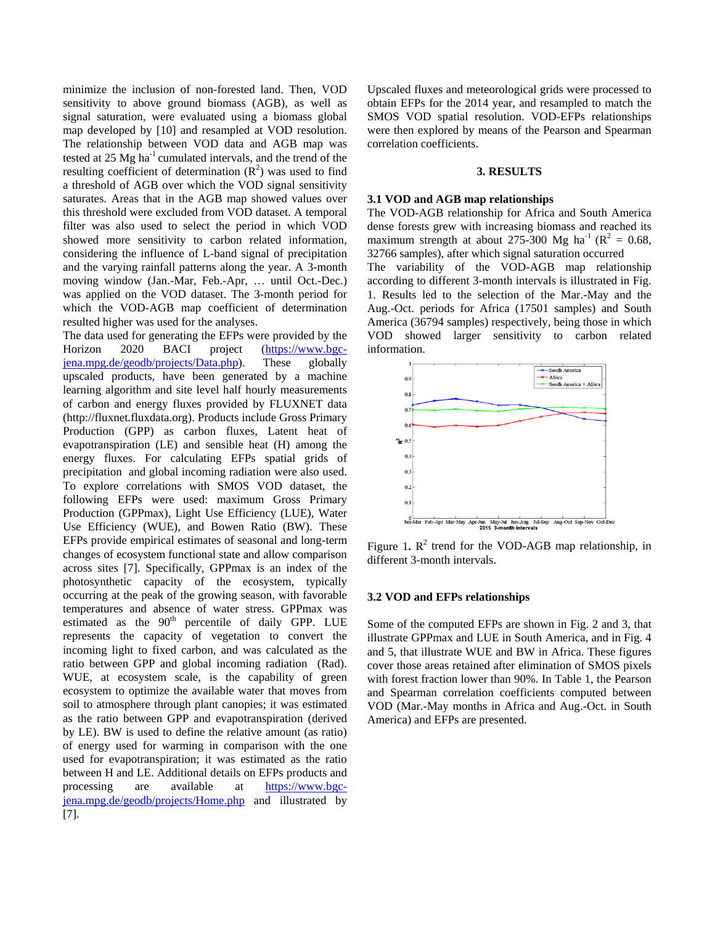minimize the inclusion of non-forested land. Then, VOD sensitivity to above ground biomass (AGB), as well as signal saturation, were evaluated using a biomass global map developed by [10] and resampled at VOD resolution. The relationship between VOD data and AGB map was tested at 25 Mg ha<sup>-1</sup> cumulated intervals, and the trend of the resulting coefficient of determination  $(R^2)$  was used to find a threshold of AGB over which the VOD signal sensitivity saturates. Areas that in the AGB map showed values over this threshold were excluded from VOD dataset. A temporal filter was also used to select the period in which VOD showed more sensitivity to carbon related information, considering the influence of L-band signal of precipitation and the varying rainfall patterns along the year. A 3-month moving window (Jan.-Mar, Feb.-Apr, … until Oct.-Dec.) was applied on the VOD dataset. The 3-month period for which the VOD-AGB map coefficient of determination resulted higher was used for the analyses.

The data used for generating the EFPs were provided by the Horizon 2020 BACI project (https://www.bgcjena.mpg.de/geodb/projects/Data.php). These globally upscaled products, have been generated by a machine learning algorithm and site level half hourly measurements of carbon and energy fluxes provided by FLUXNET data (http://fluxnet.fluxdata.org). Products include Gross Primary Production (GPP) as carbon fluxes, Latent heat of evapotranspiration (LE) and sensible heat (H) among the energy fluxes. For calculating EFPs spatial grids of precipitation and global incoming radiation were also used. To explore correlations with SMOS VOD dataset, the following EFPs were used: maximum Gross Primary Production (GPPmax), Light Use Efficiency (LUE), Water Use Efficiency (WUE), and Bowen Ratio (BW). These EFPs provide empirical estimates of seasonal and long-term changes of ecosystem functional state and allow comparison across sites [7]. Specifically, GPPmax is an index of the photosynthetic capacity of the ecosystem, typically occurring at the peak of the growing season, with favorable temperatures and absence of water stress. GPPmax was estimated as the 90<sup>th</sup> percentile of daily GPP. LUE represents the capacity of vegetation to convert the incoming light to fixed carbon, and was calculated as the ratio between GPP and global incoming radiation (Rad). WUE, at ecosystem scale, is the capability of green ecosystem to optimize the available water that moves from soil to atmosphere through plant canopies; it was estimated as the ratio between GPP and evapotranspiration (derived by LE). BW is used to define the relative amount (as ratio) of energy used for warming in comparison with the one used for evapotranspiration; it was estimated as the ratio between H and LE. Additional details on EFPs products and processing are available at https://www.bgcjena.mpg.de/geodb/projects/Home.php and illustrated by [7].

Upscaled fluxes and meteorological grids were processed to obtain EFPs for the 2014 year, and resampled to match the SMOS VOD spatial resolution. VOD-EFPs relationships were then explored by means of the Pearson and Spearman correlation coefficients.

## **3. RESULTS**

## **3.1 VOD and AGB map relationships**

The VOD-AGB relationship for Africa and South America dense forests grew with increasing biomass and reached its maximum strength at about 275-300 Mg ha<sup>-1</sup> ( $\mathbb{R}^2$  = 0.68, 32766 samples), after which signal saturation occurred The variability of the VOD-AGB map relationship according to different 3-month intervals is illustrated in Fig. 1. Results led to the selection of the Mar.-May and the Aug.-Oct. periods for Africa (17501 samples) and South America (36794 samples) respectively, being those in which VOD showed larger sensitivity to carbon related information.



Figure 1.  $R^2$  trend for the VOD-AGB map relationship, in different 3-month intervals.

### **3.2 VOD and EFPs relationships**

Some of the computed EFPs are shown in Fig. 2 and 3, that illustrate GPPmax and LUE in South America, and in Fig. 4 and 5, that illustrate WUE and BW in Africa. These figures cover those areas retained after elimination of SMOS pixels with forest fraction lower than 90%. In Table 1, the Pearson and Spearman correlation coefficients computed between VOD (Mar.-May months in Africa and Aug.-Oct. in South America) and EFPs are presented.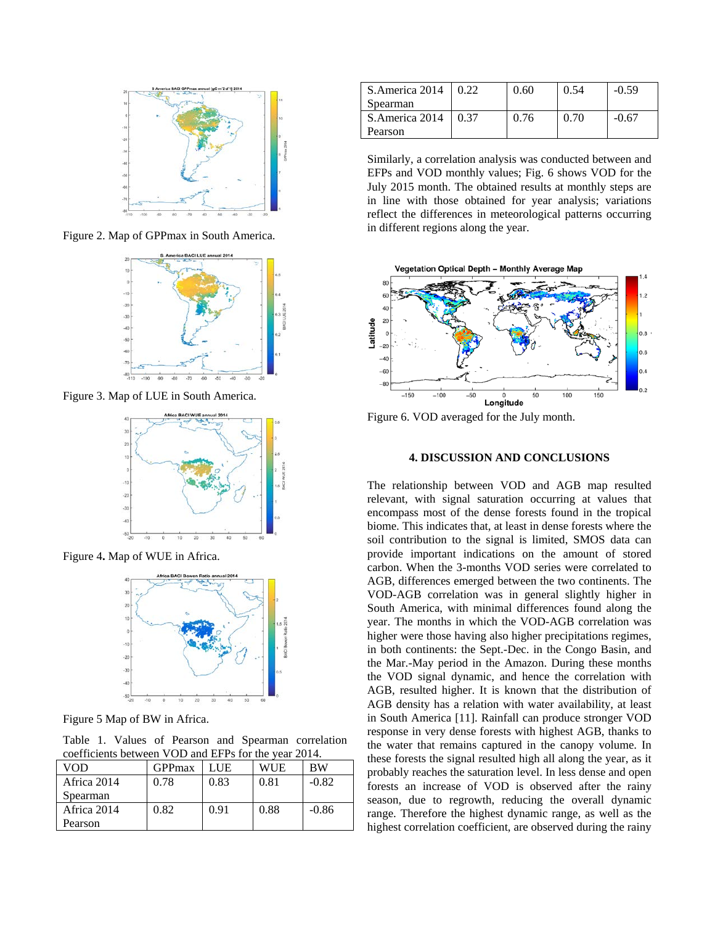

Figure 2. Map of GPPmax in South America.



Figure 3. Map of LUE in South America.



Figure 4**.** Map of WUE in Africa.



Figure 5 Map of BW in Africa.

Table 1. Values of Pearson and Spearman correlation coefficients between VOD and EFPs for the year 2014.

| VOD         | <b>GPP</b> max | LUE  | WUE  | BW      |  |  |
|-------------|----------------|------|------|---------|--|--|
| Africa 2014 | 0.78           | 0.83 | 0.81 | $-0.82$ |  |  |
| Spearman    |                |      |      |         |  |  |
| Africa 2014 | 0.82           | 0.91 | 0.88 | $-0.86$ |  |  |
| Pearson     |                |      |      |         |  |  |

| S.America 2014 | 0.22 | 0.60 | 0.54 | $-0.59$ |
|----------------|------|------|------|---------|
| Spearman       |      |      |      |         |
| S.America 2014 | 0.37 | 0.76 | 0.70 | -0.67   |
| Pearson        |      |      |      |         |

Similarly, a correlation analysis was conducted between and EFPs and VOD monthly values; Fig. 6 shows VOD for the July 2015 month. The obtained results at monthly steps are in line with those obtained for year analysis; variations reflect the differences in meteorological patterns occurring in different regions along the year.



Figure 6. VOD averaged for the July month.

## **4. DISCUSSION AND CONCLUSIONS**

The relationship between VOD and AGB map resulted relevant, with signal saturation occurring at values that encompass most of the dense forests found in the tropical biome. This indicates that, at least in dense forests where the soil contribution to the signal is limited, SMOS data can provide important indications on the amount of stored carbon. When the 3-months VOD series were correlated to AGB, differences emerged between the two continents. The VOD-AGB correlation was in general slightly higher in South America, with minimal differences found along the year. The months in which the VOD-AGB correlation was higher were those having also higher precipitations regimes, in both continents: the Sept.-Dec. in the Congo Basin, and the Mar.-May period in the Amazon. During these months the VOD signal dynamic, and hence the correlation with AGB, resulted higher. It is known that the distribution of AGB density has a relation with water availability, at least in South America [11]. Rainfall can produce stronger VOD response in very dense forests with highest AGB, thanks to the water that remains captured in the canopy volume. In these forests the signal resulted high all along the year, as it probably reaches the saturation level. In less dense and open forests an increase of VOD is observed after the rainy season, due to regrowth, reducing the overall dynamic range. Therefore the highest dynamic range, as well as the highest correlation coefficient, are observed during the rainy